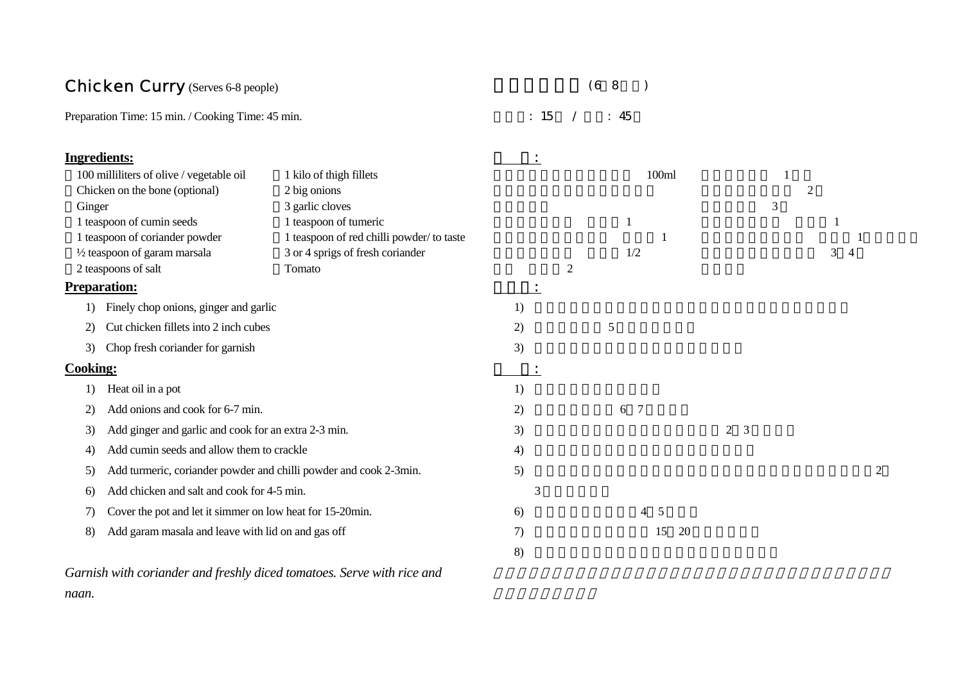### Chicken Curry (Serves 6-8 people)

 $(6~8)$ 

Preparation Time: 15 min. / Cooking Time: 45 min.  $: 15$  /  $: 45$ 

|                                  | 1 kilo of thigh fillets                                                                                                                                                                                                                                               |                                                                                                                                                                                                                                                                                                                                                                                                                           | 100ml          |                     |                |                     |
|----------------------------------|-----------------------------------------------------------------------------------------------------------------------------------------------------------------------------------------------------------------------------------------------------------------------|---------------------------------------------------------------------------------------------------------------------------------------------------------------------------------------------------------------------------------------------------------------------------------------------------------------------------------------------------------------------------------------------------------------------------|----------------|---------------------|----------------|---------------------|
|                                  | 2 big onions                                                                                                                                                                                                                                                          |                                                                                                                                                                                                                                                                                                                                                                                                                           |                |                     | $\overline{2}$ |                     |
|                                  | 3 garlic cloves                                                                                                                                                                                                                                                       |                                                                                                                                                                                                                                                                                                                                                                                                                           |                |                     |                |                     |
|                                  | 1 teaspoon of tumeric                                                                                                                                                                                                                                                 |                                                                                                                                                                                                                                                                                                                                                                                                                           |                |                     |                |                     |
|                                  | 1 teaspoon of red chilli powder/to taste                                                                                                                                                                                                                              |                                                                                                                                                                                                                                                                                                                                                                                                                           |                |                     |                |                     |
|                                  | 3 or 4 sprigs of fresh coriander                                                                                                                                                                                                                                      |                                                                                                                                                                                                                                                                                                                                                                                                                           | 1/2            |                     |                | 3<br>$\overline{4}$ |
|                                  | Tomato                                                                                                                                                                                                                                                                |                                                                                                                                                                                                                                                                                                                                                                                                                           | $\overline{2}$ |                     |                |                     |
|                                  |                                                                                                                                                                                                                                                                       | $\bullet$                                                                                                                                                                                                                                                                                                                                                                                                                 |                |                     |                |                     |
|                                  |                                                                                                                                                                                                                                                                       | 1)                                                                                                                                                                                                                                                                                                                                                                                                                        |                |                     |                |                     |
|                                  |                                                                                                                                                                                                                                                                       | 2)                                                                                                                                                                                                                                                                                                                                                                                                                        | 5              |                     |                |                     |
| Chop fresh coriander for garnish |                                                                                                                                                                                                                                                                       | 3)                                                                                                                                                                                                                                                                                                                                                                                                                        |                |                     |                |                     |
|                                  |                                                                                                                                                                                                                                                                       |                                                                                                                                                                                                                                                                                                                                                                                                                           |                |                     |                |                     |
| Heat oil in a pot                |                                                                                                                                                                                                                                                                       | 1)                                                                                                                                                                                                                                                                                                                                                                                                                        |                |                     |                |                     |
| Add onions and cook for 6-7 min. |                                                                                                                                                                                                                                                                       | 2)                                                                                                                                                                                                                                                                                                                                                                                                                        | 6 7            |                     |                |                     |
|                                  |                                                                                                                                                                                                                                                                       | 3)                                                                                                                                                                                                                                                                                                                                                                                                                        |                | $\overline{2}$<br>3 |                |                     |
|                                  |                                                                                                                                                                                                                                                                       | 4)                                                                                                                                                                                                                                                                                                                                                                                                                        |                |                     |                |                     |
|                                  |                                                                                                                                                                                                                                                                       | 5)                                                                                                                                                                                                                                                                                                                                                                                                                        |                |                     |                |                     |
|                                  |                                                                                                                                                                                                                                                                       | 3                                                                                                                                                                                                                                                                                                                                                                                                                         |                |                     |                |                     |
|                                  |                                                                                                                                                                                                                                                                       | 6)                                                                                                                                                                                                                                                                                                                                                                                                                        | $4\quad 5$     |                     |                |                     |
|                                  |                                                                                                                                                                                                                                                                       | 7)                                                                                                                                                                                                                                                                                                                                                                                                                        | 15             |                     |                |                     |
|                                  |                                                                                                                                                                                                                                                                       | 8)                                                                                                                                                                                                                                                                                                                                                                                                                        |                |                     |                |                     |
|                                  | Ingredients:<br>100 milliliters of olive / vegetable oil<br>Chicken on the bone (optional)<br>Ginger<br>1 teaspoon of cumin seeds<br>1 teaspoon of coriander powder<br>1/2 teaspoon of garam marsala<br>2 teaspoons of salt<br><b>Preparation:</b><br><b>Cooking:</b> | Finely chop onions, ginger and garlic<br>Cut chicken fillets into 2 inch cubes<br>Add ginger and garlic and cook for an extra 2-3 min.<br>Add cumin seeds and allow them to crackle<br>Add turmeric, coriander powder and chilli powder and cook 2-3min.<br>Add chicken and salt and cook for 4-5 min.<br>Cover the pot and let it simmer on low heat for 15-20min.<br>Add garam masala and leave with lid on and gas off |                |                     | <b>20</b>      | 3                   |

*Garnish with coriander and freshly diced tomatoes. Serve with rice and naan.*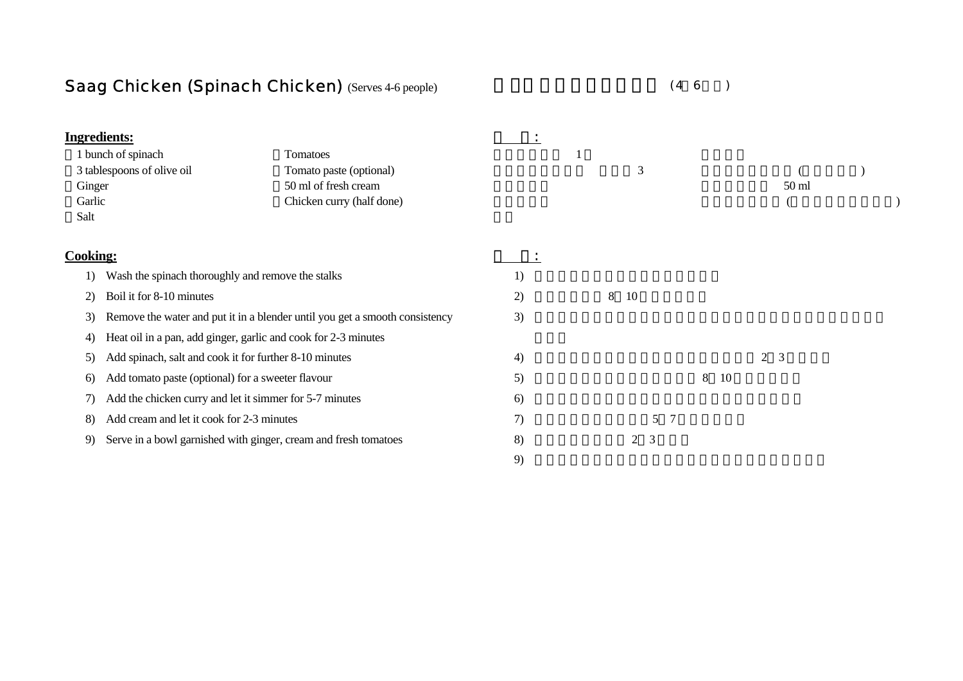# Saag Chicken (Spinach Chicken) (Serves 4-6 people)

 $(4~6~)$ 

| <b>Ingredients:</b> |                                                                 |                                                                             |    |   |                     |         |                  |  |
|---------------------|-----------------------------------------------------------------|-----------------------------------------------------------------------------|----|---|---------------------|---------|------------------|--|
|                     | 1 bunch of spinach                                              | Tomatoes                                                                    |    |   |                     |         |                  |  |
|                     | 3 tablespoons of olive oil                                      | Tomato paste (optional)                                                     |    |   | 3                   |         |                  |  |
| Ginger              |                                                                 | 50 ml of fresh cream                                                        |    |   |                     |         | 50 <sub>ml</sub> |  |
| Garlic              |                                                                 | Chicken curry (half done)                                                   |    |   |                     |         |                  |  |
| Salt                |                                                                 |                                                                             |    |   |                     |         |                  |  |
| <b>Cooking:</b>     |                                                                 |                                                                             |    |   |                     |         |                  |  |
| 1)                  | Wash the spinach thoroughly and remove the stalks               |                                                                             | 1) |   |                     |         |                  |  |
| 2)                  | Boil it for 8-10 minutes                                        |                                                                             | 2) | 8 | 10                  |         |                  |  |
| 3)                  |                                                                 | Remove the water and put it in a blender until you get a smooth consistency | 3) |   |                     |         |                  |  |
| 4)                  | Heat oil in a pan, add ginger, garlic and cook for 2-3 minutes  |                                                                             |    |   |                     |         |                  |  |
| 5)                  | Add spinach, salt and cook it for further 8-10 minutes          |                                                                             | 4) |   |                     |         | $2^{\circ}$<br>3 |  |
| 6)                  | Add tomato paste (optional) for a sweeter flavour               |                                                                             | 5) |   |                     | 8<br>10 |                  |  |
| 7)                  | Add the chicken curry and let it simmer for 5-7 minutes         |                                                                             | 6) |   |                     |         |                  |  |
| 8)                  | Add cream and let it cook for 2-3 minutes                       |                                                                             | 7) |   | 5<br>$\overline{7}$ |         |                  |  |
| 9)                  | Serve in a bowl garnished with ginger, cream and fresh tomatoes |                                                                             | 8) |   | 3<br>2              |         |                  |  |
|                     |                                                                 |                                                                             | 9) |   |                     |         |                  |  |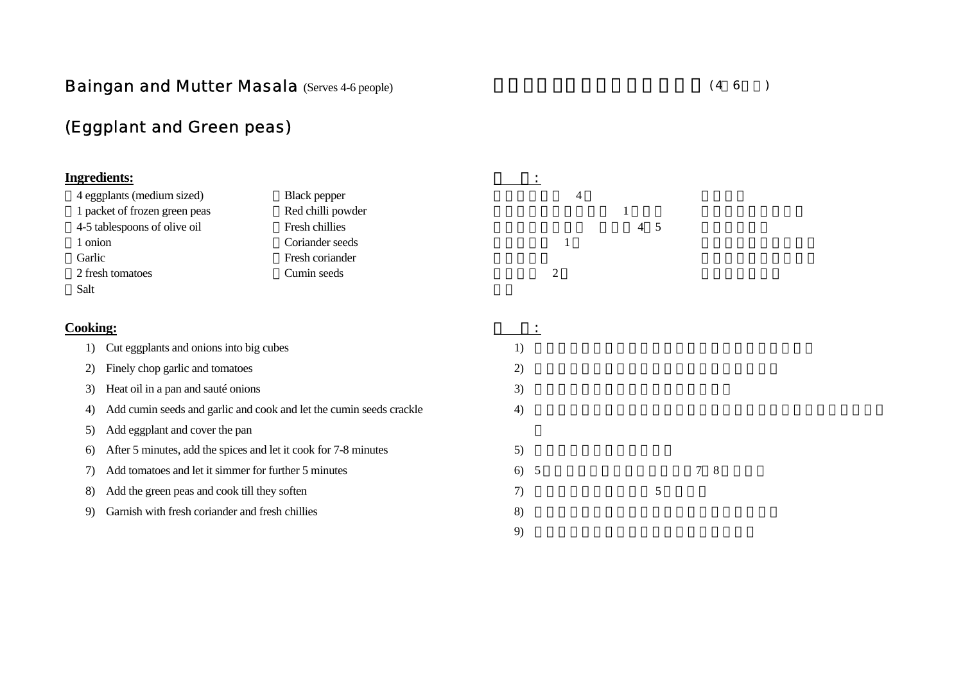### **Baingan and Mutter Masala (Serves 4-6 people)**

## (Eggplant and Green peas)

| <b>Ingredients:</b>                                        |                                                                     | $\bullet$      |         |
|------------------------------------------------------------|---------------------------------------------------------------------|----------------|---------|
| 4 eggplants (medium sized)                                 | <b>Black pepper</b>                                                 | 4              |         |
| 1 packet of frozen green peas                              | Red chilli powder                                                   |                |         |
| 4-5 tablespoons of olive oil                               | Fresh chillies                                                      |                | -5<br>4 |
| 1 onion                                                    | Coriander seeds                                                     | 1              |         |
| Garlic                                                     | Fresh coriander                                                     |                |         |
| 2 fresh tomatoes                                           | Cumin seeds                                                         | $\overline{2}$ |         |
| Salt                                                       |                                                                     |                |         |
| <b>Cooking:</b>                                            |                                                                     |                |         |
| Cut eggplants and onions into big cubes<br>1)              |                                                                     | 1)             |         |
| Finely chop garlic and tomatoes<br>2)                      |                                                                     | 2)             |         |
| Heat oil in a pan and sauté onions<br>3)                   |                                                                     | 3)             |         |
| 4)                                                         | Add cumin seeds and garlic and cook and let the cumin seeds crackle | 4)             |         |
| Add eggplant and cover the pan<br>5)                       |                                                                     |                |         |
| 6)                                                         | After 5 minutes, add the spices and let it cook for 7-8 minutes     | 5)             |         |
| Add tomatoes and let it simmer for further 5 minutes<br>7) |                                                                     | 6)<br>5        | 8       |
| Add the green peas and cook till they soften<br>8)         |                                                                     | 7)             | 5       |
| Garnish with fresh coriander and fresh chillies<br>9)      |                                                                     | 8)             |         |
|                                                            |                                                                     | 9)             |         |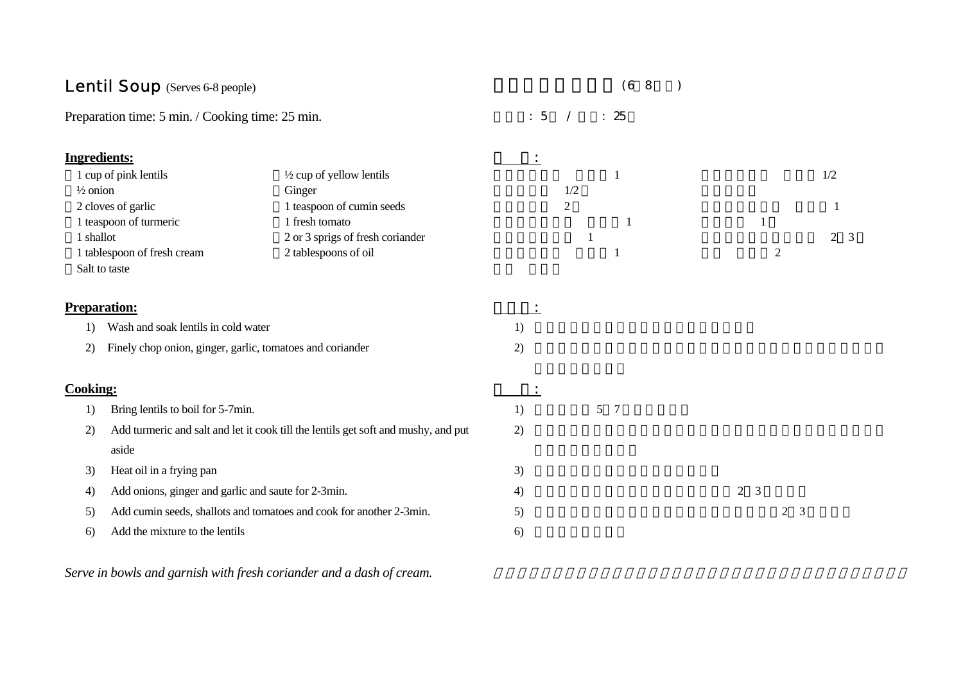| <b>Lentil Soup</b> (Serves 6-8 people)                          |                                                                                    |            |                | (68          |                                  |                |                |
|-----------------------------------------------------------------|------------------------------------------------------------------------------------|------------|----------------|--------------|----------------------------------|----------------|----------------|
| Preparation time: 5 min. / Cooking time: 25 min.                |                                                                                    | $\colon 5$ |                | : 25         |                                  |                |                |
| <b>Ingredients:</b>                                             |                                                                                    | $\bullet$  |                |              |                                  |                |                |
| 1 cup of pink lentils                                           | $\frac{1}{2}$ cup of yellow lentils                                                |            |                | $\mathbf{1}$ |                                  |                | 1/2            |
| $\frac{1}{2}$ onion                                             | Ginger                                                                             |            | 1/2            |              |                                  |                |                |
| 2 cloves of garlic                                              | 1 teaspoon of cumin seeds                                                          |            | $\overline{2}$ |              |                                  |                | 1              |
| 1 teaspoon of turmeric                                          | 1 fresh tomato                                                                     |            |                |              | 1                                |                |                |
| 1 shallot                                                       | 2 or 3 sprigs of fresh coriander                                                   |            |                |              |                                  |                | 2 <sup>3</sup> |
| 1 tablespoon of fresh cream<br>Salt to taste                    | 2 tablespoons of oil                                                               |            |                |              |                                  | $\overline{2}$ |                |
| <b>Preparation:</b>                                             |                                                                                    |            |                |              |                                  |                |                |
| Wash and soak lentils in cold water<br>1)                       |                                                                                    | 1)         |                |              |                                  |                |                |
| Finely chop onion, ginger, garlic, tomatoes and coriander<br>2) |                                                                                    | 2)         |                |              |                                  |                |                |
| <b>Cooking:</b>                                                 |                                                                                    |            |                |              |                                  |                |                |
| Bring lentils to boil for 5-7min.<br>1)                         |                                                                                    | 1)         |                | 5 7          |                                  |                |                |
| 2)                                                              | Add turmeric and salt and let it cook till the lentils get soft and mushy, and put | 2)         |                |              |                                  |                |                |
| aside                                                           |                                                                                    |            |                |              |                                  |                |                |
| Heat oil in a frying pan<br>3)                                  |                                                                                    | 3)         |                |              |                                  |                |                |
| Add onions, ginger and garlic and saute for 2-3min.<br>4)       |                                                                                    | 4)         |                |              | $\overline{2}$<br>$\overline{3}$ |                |                |
| 5)                                                              | Add cumin seeds, shallots and tomatoes and cook for another 2-3min.                | 5)         |                |              |                                  | $2 \quad 3$    |                |
| Add the mixture to the lentils<br>6)                            |                                                                                    | 6)         |                |              |                                  |                |                |
|                                                                 |                                                                                    |            |                |              |                                  |                |                |

*Serve in bowls and garnish with fresh coriander and a dash of cream.*